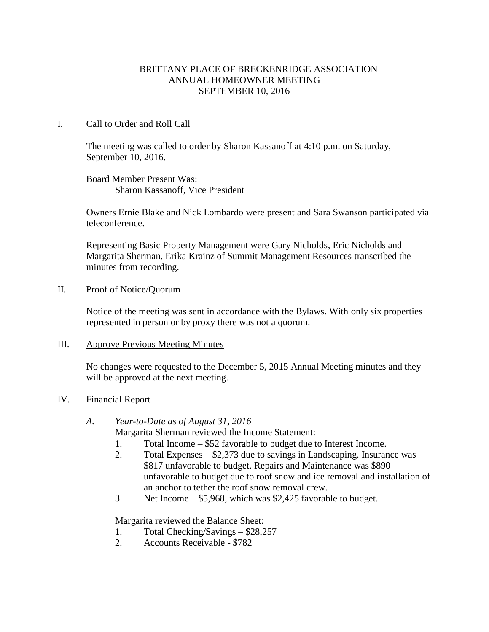### BRITTANY PLACE OF BRECKENRIDGE ASSOCIATION ANNUAL HOMEOWNER MEETING SEPTEMBER 10, 2016

#### I. Call to Order and Roll Call

The meeting was called to order by Sharon Kassanoff at 4:10 p.m. on Saturday, September 10, 2016.

Board Member Present Was: Sharon Kassanoff, Vice President

Owners Ernie Blake and Nick Lombardo were present and Sara Swanson participated via teleconference.

Representing Basic Property Management were Gary Nicholds, Eric Nicholds and Margarita Sherman. Erika Krainz of Summit Management Resources transcribed the minutes from recording.

#### II. Proof of Notice/Quorum

Notice of the meeting was sent in accordance with the Bylaws. With only six properties represented in person or by proxy there was not a quorum.

#### III. Approve Previous Meeting Minutes

No changes were requested to the December 5, 2015 Annual Meeting minutes and they will be approved at the next meeting.

### IV. Financial Report

### *A. Year-to-Date as of August 31, 2016*

Margarita Sherman reviewed the Income Statement:

- 1. Total Income \$52 favorable to budget due to Interest Income.
- 2. Total Expenses \$2,373 due to savings in Landscaping. Insurance was \$817 unfavorable to budget. Repairs and Maintenance was \$890 unfavorable to budget due to roof snow and ice removal and installation of an anchor to tether the roof snow removal crew.
- 3. Net Income \$5,968, which was \$2,425 favorable to budget.

Margarita reviewed the Balance Sheet:

- 1. Total Checking/Savings \$28,257
- 2. Accounts Receivable \$782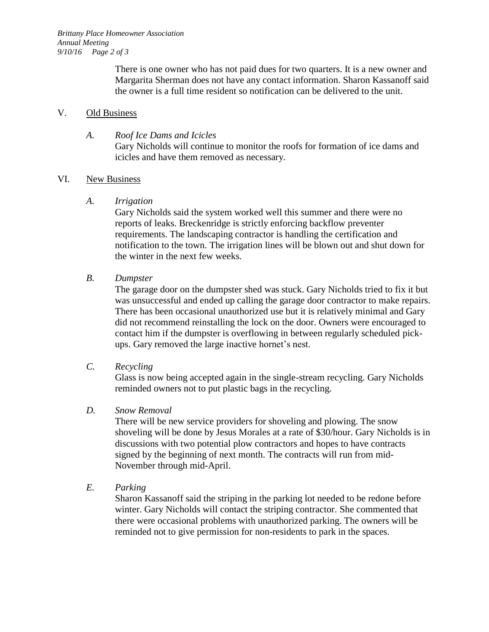There is one owner who has not paid dues for two quarters. It is a new owner and Margarita Sherman does not have any contact information. Sharon Kassanoff said the owner is a full time resident so notification can be delivered to the unit.

### V. Old Business

# *A. Roof Ice Dams and Icicles* Gary Nicholds will continue to monitor the roofs for formation of ice dams and icicles and have them removed as necessary.

# VI. New Business

*A. Irrigation*

Gary Nicholds said the system worked well this summer and there were no reports of leaks. Breckenridge is strictly enforcing backflow preventer requirements. The landscaping contractor is handling the certification and notification to the town. The irrigation lines will be blown out and shut down for the winter in the next few weeks.

*B. Dumpster*

The garage door on the dumpster shed was stuck. Gary Nicholds tried to fix it but was unsuccessful and ended up calling the garage door contractor to make repairs. There has been occasional unauthorized use but it is relatively minimal and Gary did not recommend reinstalling the lock on the door. Owners were encouraged to contact him if the dumpster is overflowing in between regularly scheduled pickups. Gary removed the large inactive hornet's nest.

*C. Recycling*

Glass is now being accepted again in the single-stream recycling. Gary Nicholds reminded owners not to put plastic bags in the recycling.

# *D. Snow Removal*

There will be new service providers for shoveling and plowing. The snow shoveling will be done by Jesus Morales at a rate of \$30/hour. Gary Nicholds is in discussions with two potential plow contractors and hopes to have contracts signed by the beginning of next month. The contracts will run from mid-November through mid-April.

*E. Parking*

Sharon Kassanoff said the striping in the parking lot needed to be redone before winter. Gary Nicholds will contact the striping contractor. She commented that there were occasional problems with unauthorized parking. The owners will be reminded not to give permission for non-residents to park in the spaces.